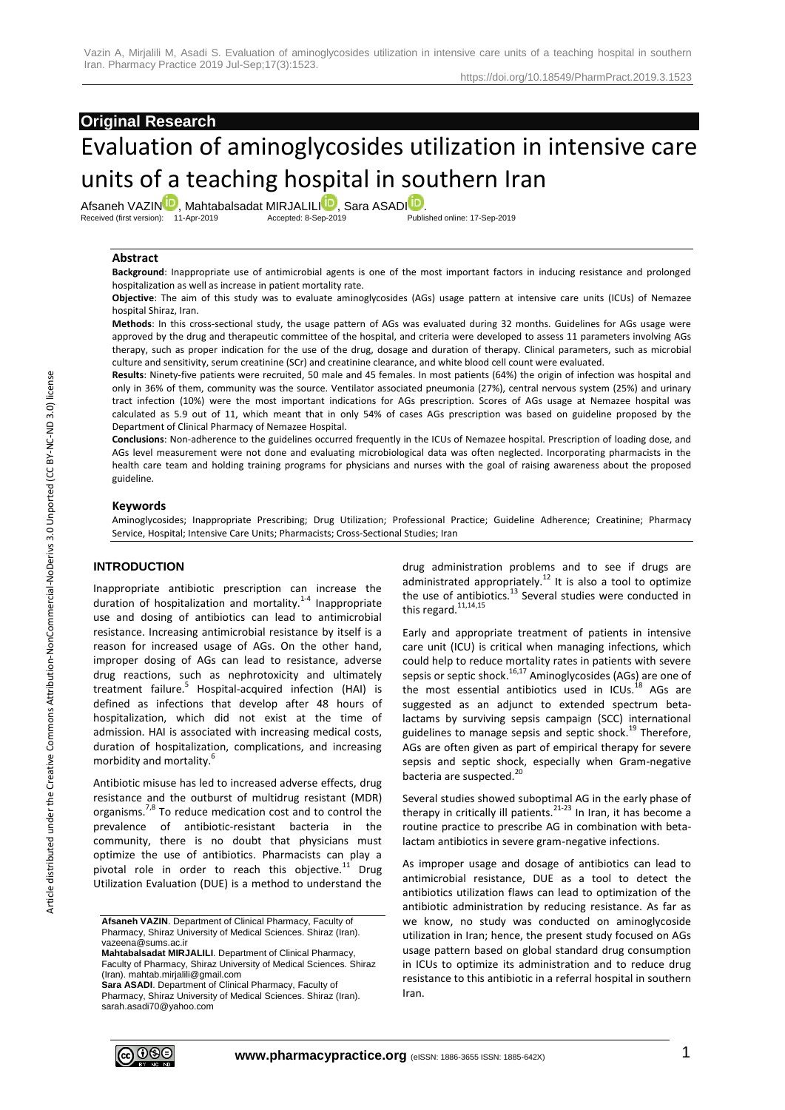# **Original Research**

# Evaluation of aminoglycosides utilization in intensive care units of a teaching hospital in southern Iran

Afsaneh VAZI[N](http://orcid.org/0000-0002-2230-4449)<sup>ID</sup>, Mahtabalsadat MIRJA[LI](http://orcid.org/0000-0003-0322-8257)LI<sup>D</sup>, Sara ASADI<sup>D</sup>[.](http://orcid.org/0000-0002-0038-1494)<br>Received (first version): 11-Apr-2019 **Accepted: 8-Sep-2019** Published online: 17-Sep-2019

Received (first version): 11-Apr-2019

#### **Abstract**

**Background**: Inappropriate use of antimicrobial agents is one of the most important factors in inducing resistance and prolonged hospitalization as well as increase in patient mortality rate.

**Objective**: The aim of this study was to evaluate aminoglycosides (AGs) usage pattern at intensive care units (ICUs) of Nemazee hospital Shiraz, Iran.

**Methods**: In this cross-sectional study, the usage pattern of AGs was evaluated during 32 months. Guidelines for AGs usage were approved by the drug and therapeutic committee of the hospital, and criteria were developed to assess 11 parameters involving AGs therapy, such as proper indication for the use of the drug, dosage and duration of therapy. Clinical parameters, such as microbial culture and sensitivity, serum creatinine (SCr) and creatinine clearance, and white blood cell count were evaluated.

**Results**: Ninety-five patients were recruited, 50 male and 45 females. In most patients (64%) the origin of infection was hospital and only in 36% of them, community was the source. Ventilator associated pneumonia (27%), central nervous system (25%) and urinary tract infection (10%) were the most important indications for AGs prescription. Scores of AGs usage at Nemazee hospital was calculated as 5.9 out of 11, which meant that in only 54% of cases AGs prescription was based on guideline proposed by the Department of Clinical Pharmacy of Nemazee Hospital.

**Conclusions**: Non-adherence to the guidelines occurred frequently in the ICUs of Nemazee hospital. Prescription of loading dose, and AGs level measurement were not done and evaluating microbiological data was often neglected. Incorporating pharmacists in the health care team and holding training programs for physicians and nurses with the goal of raising awareness about the proposed guideline.

#### **Keywords**

Aminoglycosides; Inappropriate Prescribing; Drug Utilization; Professional Practice; Guideline Adherence; Creatinine; Pharmacy Service, Hospital; Intensive Care Units; Pharmacists; Cross-Sectional Studies; Iran

#### **INTRODUCTION**

Inappropriate antibiotic prescription can increase the duration of hospitalization and mortality.<sup>1-4</sup> Inappropriate use and dosing of antibiotics can lead to antimicrobial resistance. Increasing antimicrobial resistance by itself is a reason for increased usage of AGs. On the other hand, improper dosing of AGs can lead to resistance, adverse drug reactions, such as nephrotoxicity and ultimately treatment failure.<sup>5</sup> Hospital-acquired infection (HAI) is defined as infections that develop after 48 hours of hospitalization, which did not exist at the time of admission. HAI is associated with increasing medical costs, duration of hospitalization, complications, and increasing morbidity and mortality.<sup>6</sup>

Antibiotic misuse has led to increased adverse effects, drug resistance and the outburst of multidrug resistant (MDR) organisms.<sup>7,8</sup> To reduce medication cost and to control the prevalence of antibiotic‐resistant bacteria in the community, there is no doubt that physicians must optimize the use of antibiotics. Pharmacists can play a pivotal role in order to reach this objective. $^{11}$  Drug Utilization Evaluation (DUE) is a method to understand the

drug administration problems and to see if drugs are administrated appropriately.<sup>12</sup> It is also a tool to optimize the use of antibiotics. $^{13}$  Several studies were conducted in this regard. $11,14,15$ 

Early and appropriate treatment of patients in intensive care unit (ICU) is critical when managing infections, which could help to reduce mortality rates in patients with severe sepsis or septic shock.<sup>16,17</sup> Aminoglycosides (AGs) are one of the most essential antibiotics used in ICUs.<sup>18</sup> AGs are suggested as an adjunct to extended spectrum betalactams by surviving sepsis campaign (SCC) international guidelines to manage sepsis and septic shock.<sup>19</sup> Therefore, AGs are often given as part of empirical therapy for severe sepsis and septic shock, especially when Gram-negative bacteria are suspected.<sup>20</sup>

Several studies showed suboptimal AG in the early phase of therapy in critically ill patients. $2^{1-23}$  In Iran, it has become a routine practice to prescribe AG in combination with betalactam antibiotics in severe gram-negative infections.

As improper usage and dosage of antibiotics can lead to antimicrobial resistance, DUE as a tool to detect the antibiotics utilization flaws can lead to optimization of the antibiotic administration by reducing resistance. As far as we know, no study was conducted on aminoglycoside utilization in Iran; hence, the present study focused on AGs usage pattern based on global standard drug consumption in ICUs to optimize its administration and to reduce drug resistance to this antibiotic in a referral hospital in southern Iran.



**Afsaneh VAZIN**. Department of Clinical Pharmacy, Faculty of Pharmacy, Shiraz University of Medical Sciences. Shiraz (Iran). vazeena@sums.ac.ir

**Mahtabalsadat MIRJALILI**. Department of Clinical Pharmacy, Faculty of Pharmacy, Shiraz University of Medical Sciences. Shiraz (Iran). mahtab.mirjalili@gmail.com

**Sara ASADI**. Department of Clinical Pharmacy, Faculty of Pharmacy, Shiraz University of Medical Sciences. Shiraz (Iran). sarah.asadi70@yahoo.com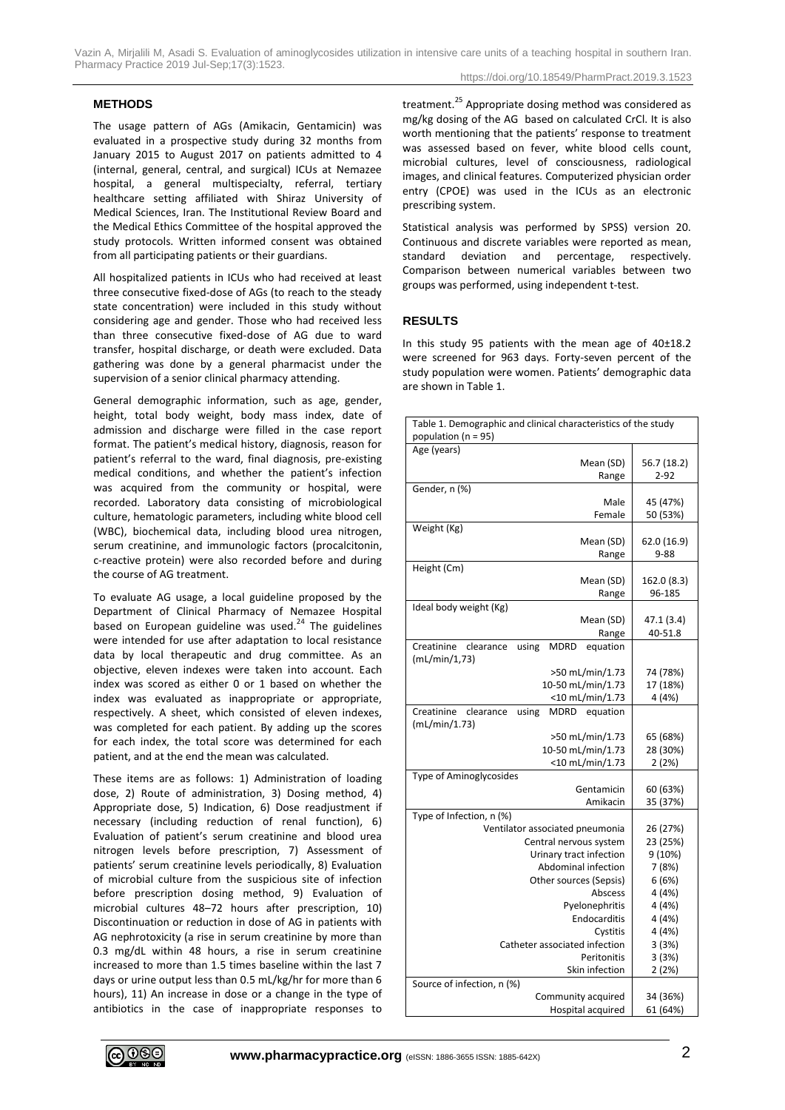Vazin A, Mirjalili M, Asadi S. Evaluation of aminoglycosides utilization in intensive care units of a teaching hospital in southern Iran. Pharmacy Practice 2019 Jul-Sep;17(3):1523.

#### **METHODS**

The usage pattern of AGs (Amikacin, Gentamicin) was evaluated in a prospective study during 32 months from January 2015 to August 2017 on patients admitted to 4 (internal, general, central, and surgical) ICUs at Nemazee hospital, a general multispecialty, referral, tertiary healthcare setting affiliated with Shiraz University of Medical Sciences, Iran. The Institutional Review Board and the Medical Ethics Committee of the hospital approved the study protocols. Written informed consent was obtained from all participating patients or their guardians.

All hospitalized patients in ICUs who had received at least three consecutive fixed-dose of AGs (to reach to the steady state concentration) were included in this study without considering age and gender. Those who had received less than three consecutive fixed-dose of AG due to ward transfer, hospital discharge, or death were excluded. Data gathering was done by a general pharmacist under the supervision of a senior clinical pharmacy attending.

General demographic information, such as age, gender, height, total body weight, body mass index, date of admission and discharge were filled in the case report format. The patient's medical history, diagnosis, reason for patient's referral to the ward, final diagnosis, pre-existing medical conditions, and whether the patient's infection was acquired from the community or hospital, were recorded. Laboratory data consisting of microbiological culture, hematologic parameters, including white blood cell (WBC), biochemical data, including blood urea nitrogen, serum creatinine, and immunologic factors (procalcitonin, c-reactive protein) were also recorded before and during the course of AG treatment.

To evaluate AG usage, a local guideline proposed by the Department of Clinical Pharmacy of Nemazee Hospital based on European guideline was used.<sup>24</sup> The guidelines were intended for use after adaptation to local resistance data by local therapeutic and drug committee. As an objective, eleven indexes were taken into account. Each index was scored as either 0 or 1 based on whether the index was evaluated as inappropriate or appropriate, respectively. A sheet, which consisted of eleven indexes, was completed for each patient. By adding up the scores for each index, the total score was determined for each patient, and at the end the mean was calculated.

These items are as follows: 1) Administration of loading dose, 2) Route of administration, 3) Dosing method, 4) Appropriate dose, 5) Indication, 6) Dose readjustment if necessary (including reduction of renal function), 6) Evaluation of patient's serum creatinine and blood urea nitrogen levels before prescription, 7) Assessment of patients' serum creatinine levels periodically, 8) Evaluation of microbial culture from the suspicious site of infection before prescription dosing method, 9) Evaluation of microbial cultures 48–72 hours after prescription, 10) Discontinuation or reduction in dose of AG in patients with AG nephrotoxicity (a rise in serum creatinine by more than 0.3 mg/dL within 48 hours, a rise in serum creatinine increased to more than 1.5 times baseline within the last 7 days or urine output less than 0.5 mL/kg/hr for more than 6 hours), 11) An increase in dose or a change in the type of antibiotics in the case of inappropriate responses to

treatment.<sup>25</sup> Appropriate dosing method was considered as mg/kg dosing of the AG based on calculated CrCl. It is also worth mentioning that the patients' response to treatment was assessed based on fever, white blood cells count, microbial cultures, level of consciousness, radiological images, and clinical features. Computerized physician order entry (CPOE) was used in the ICUs as an electronic prescribing system.

Statistical analysis was performed by SPSS) version 20. Continuous and discrete variables were reported as mean, standard deviation and percentage, respectively. Comparison between numerical variables between two groups was performed, using independent t-test.

#### **RESULTS**

In this study 95 patients with the mean age of 40±18.2 were screened for 963 days. Forty-seven percent of the study population were women. Patients' demographic data are shown in Table 1.

| Table 1. Demographic and clinical characteristics of the study |                 |  |
|----------------------------------------------------------------|-----------------|--|
| population ( $n = 95$ )                                        |                 |  |
| Age (years)                                                    |                 |  |
| Mean (SD)                                                      | 56.7 (18.2)     |  |
| Range                                                          | $2 - 92$        |  |
| Gender, n (%)                                                  |                 |  |
| Male                                                           | 45 (47%)        |  |
| Female                                                         | 50 (53%)        |  |
| Weight (Kg)                                                    |                 |  |
| Mean (SD)                                                      | 62.0 (16.9)     |  |
| Range                                                          | $9 - 88$        |  |
| Height (Cm)                                                    |                 |  |
| Mean (SD)                                                      | 162.0 (8.3)     |  |
| Range                                                          | 96-185          |  |
| Ideal body weight (Kg)<br>Mean (SD)                            | 47.1 (3.4)      |  |
|                                                                |                 |  |
| Range<br>Creatinine<br>clearance<br>using<br>MDRD<br>equation  | 40-51.8         |  |
| (mL/min/1,73)                                                  |                 |  |
| >50 mL/min/1.73                                                | 74 (78%)        |  |
| 10-50 mL/min/1.73                                              | 17 (18%)        |  |
| <10 mL/min/1.73                                                | 4 (4%)          |  |
| equation<br>Creatinine<br>clearance<br>MDRD<br>using           |                 |  |
| (mL/min/1.73)                                                  |                 |  |
| >50 mL/min/1.73                                                | 65 (68%)        |  |
| 10-50 mL/min/1.73                                              | 28 (30%)        |  |
| <10 mL/min/1.73                                                | 2 (2%)          |  |
| Type of Aminoglycosides                                        |                 |  |
| Gentamicin                                                     | 60 (63%)        |  |
| Amikacin                                                       | 35 (37%)        |  |
| Type of Infection, n (%)                                       |                 |  |
| Ventilator associated pneumonia                                | 26 (27%)        |  |
| Central nervous system                                         | 23 (25%)        |  |
| Urinary tract infection<br>Abdominal infection                 | 9(10%)          |  |
|                                                                | 7(8%)           |  |
| Other sources (Sepsis)<br>Abscess                              | 6(6%)<br>4 (4%) |  |
| Pyelonephritis                                                 | 4 (4%)          |  |
| Endocarditis                                                   | 4 (4%)          |  |
| Cystitis                                                       | 4 (4%)          |  |
| Catheter associated infection                                  | 3(3%)           |  |
| Peritonitis                                                    | 3(3%)           |  |
| Skin infection                                                 | 2(2%)           |  |
| Source of infection, n (%)                                     |                 |  |
| Community acquired                                             | 34 (36%)        |  |
| Hospital acquired                                              | 61 (64%)        |  |
|                                                                |                 |  |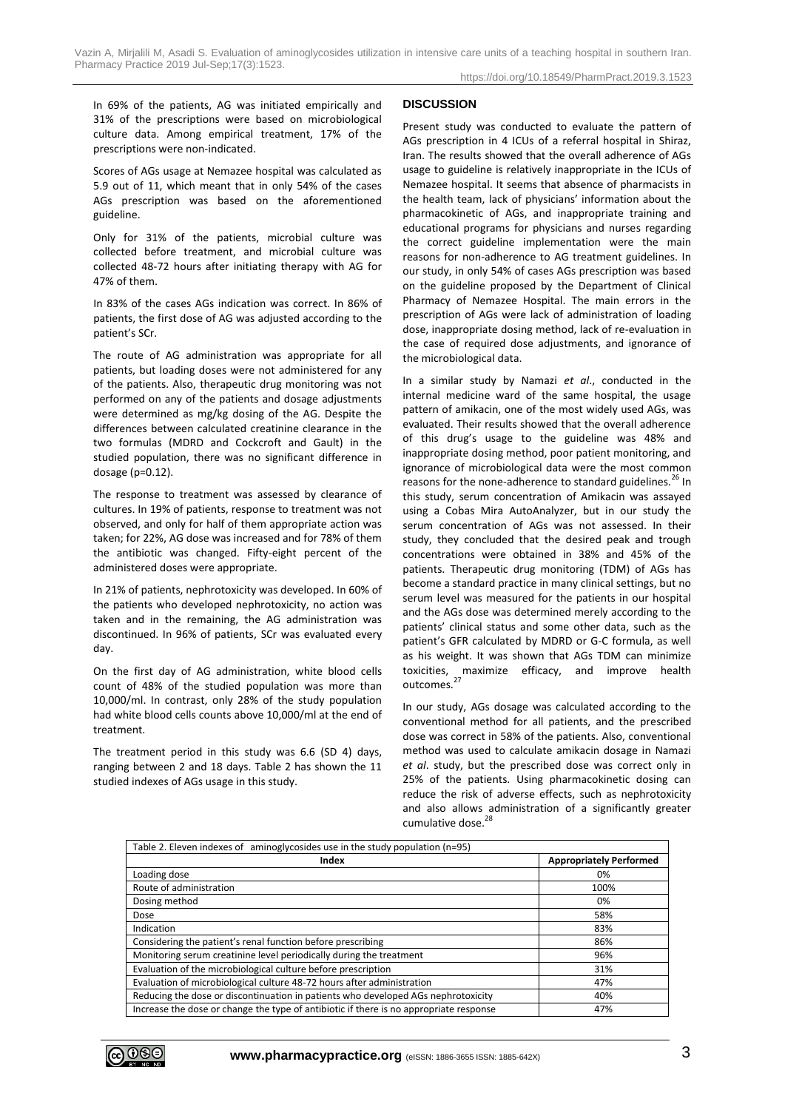In 69% of the patients, AG was initiated empirically and 31% of the prescriptions were based on microbiological culture data. Among empirical treatment, 17% of the prescriptions were non-indicated.

Scores of AGs usage at Nemazee hospital was calculated as 5.9 out of 11, which meant that in only 54% of the cases AGs prescription was based on the aforementioned guideline.

Only for 31% of the patients, microbial culture was collected before treatment, and microbial culture was collected 48-72 hours after initiating therapy with AG for 47% of them.

In 83% of the cases AGs indication was correct. In 86% of patients, the first dose of AG was adjusted according to the patient's SCr.

The route of AG administration was appropriate for all patients, but loading doses were not administered for any of the patients. Also, therapeutic drug monitoring was not performed on any of the patients and dosage adjustments were determined as mg/kg dosing of the AG. Despite the differences between calculated creatinine clearance in the two formulas (MDRD and Cockcroft and Gault) in the studied population, there was no significant difference in dosage (p=0.12).

The response to treatment was assessed by clearance of cultures. In 19% of patients, response to treatment was not observed, and only for half of them appropriate action was taken; for 22%, AG dose was increased and for 78% of them the antibiotic was changed. Fifty-eight percent of the administered doses were appropriate.

In 21% of patients, nephrotoxicity was developed. In 60% of the patients who developed nephrotoxicity, no action was taken and in the remaining, the AG administration was discontinued. In 96% of patients, SCr was evaluated every day.

On the first day of AG administration, white blood cells count of 48% of the studied population was more than 10,000/ml. In contrast, only 28% of the study population had white blood cells counts above 10,000/ml at the end of treatment.

The treatment period in this study was 6.6 (SD 4) days, ranging between 2 and 18 days. Table 2 has shown the 11 studied indexes of AGs usage in this study.

#### **DISCUSSION**

Present study was conducted to evaluate the pattern of AGs prescription in 4 ICUs of a referral hospital in Shiraz, Iran. The results showed that the overall adherence of AGs usage to guideline is relatively inappropriate in the ICUs of Nemazee hospital. It seems that absence of pharmacists in the health team, lack of physicians' information about the pharmacokinetic of AGs, and inappropriate training and educational programs for physicians and nurses regarding the correct guideline implementation were the main reasons for non-adherence to AG treatment guidelines. In our study, in only 54% of cases AGs prescription was based on the guideline proposed by the Department of Clinical Pharmacy of Nemazee Hospital. The main errors in the prescription of AGs were lack of administration of loading dose, inappropriate dosing method, lack of re-evaluation in the case of required dose adjustments, and ignorance of the microbiological data.

In a similar study by Namazi *et al*., conducted in the internal medicine ward of the same hospital, the usage pattern of amikacin, one of the most widely used AGs, was evaluated. Their results showed that the overall adherence of this drug's usage to the guideline was 48% and inappropriate dosing method, poor patient monitoring, and ignorance of microbiological data were the most common reasons for the none-adherence to standard guidelines.<sup>26</sup> In this study, serum concentration of Amikacin was assayed using a Cobas Mira AutoAnalyzer, but in our study the serum concentration of AGs was not assessed. In their study, they concluded that the desired peak and trough concentrations were obtained in 38% and 45% of the patients. Therapeutic drug monitoring (TDM) of AGs has become a standard practice in many clinical settings, but no serum level was measured for the patients in our hospital and the AGs dose was determined merely according to the patients' clinical status and some other data, such as the patient's GFR calculated by MDRD or G-C formula, as well as his weight. It was shown that AGs TDM can minimize toxicities, maximize efficacy, and improve health outcomes.<sup>27</sup>

In our study, AGs dosage was calculated according to the conventional method for all patients, and the prescribed dose was correct in 58% of the patients. Also, conventional method was used to calculate amikacin dosage in Namazi *et al*. study, but the prescribed dose was correct only in 25% of the patients. Using pharmacokinetic dosing can reduce the risk of adverse effects, such as nephrotoxicity and also allows administration of a significantly greater cumulative dose.<sup>28</sup>

| Table 2. Eleven indexes of aminoglycosides use in the study population (n=95)          |                                |
|----------------------------------------------------------------------------------------|--------------------------------|
| Index                                                                                  | <b>Appropriately Performed</b> |
| Loading dose                                                                           | 0%                             |
| Route of administration                                                                | 100%                           |
| Dosing method                                                                          | 0%                             |
| Dose                                                                                   | 58%                            |
| <b>Indication</b>                                                                      | 83%                            |
| Considering the patient's renal function before prescribing                            | 86%                            |
| Monitoring serum creatinine level periodically during the treatment                    | 96%                            |
| Evaluation of the microbiological culture before prescription                          | 31%                            |
| Evaluation of microbiological culture 48-72 hours after administration                 | 47%                            |
| Reducing the dose or discontinuation in patients who developed AGs nephrotoxicity      | 40%                            |
| Increase the dose or change the type of antibiotic if there is no appropriate response | 47%                            |

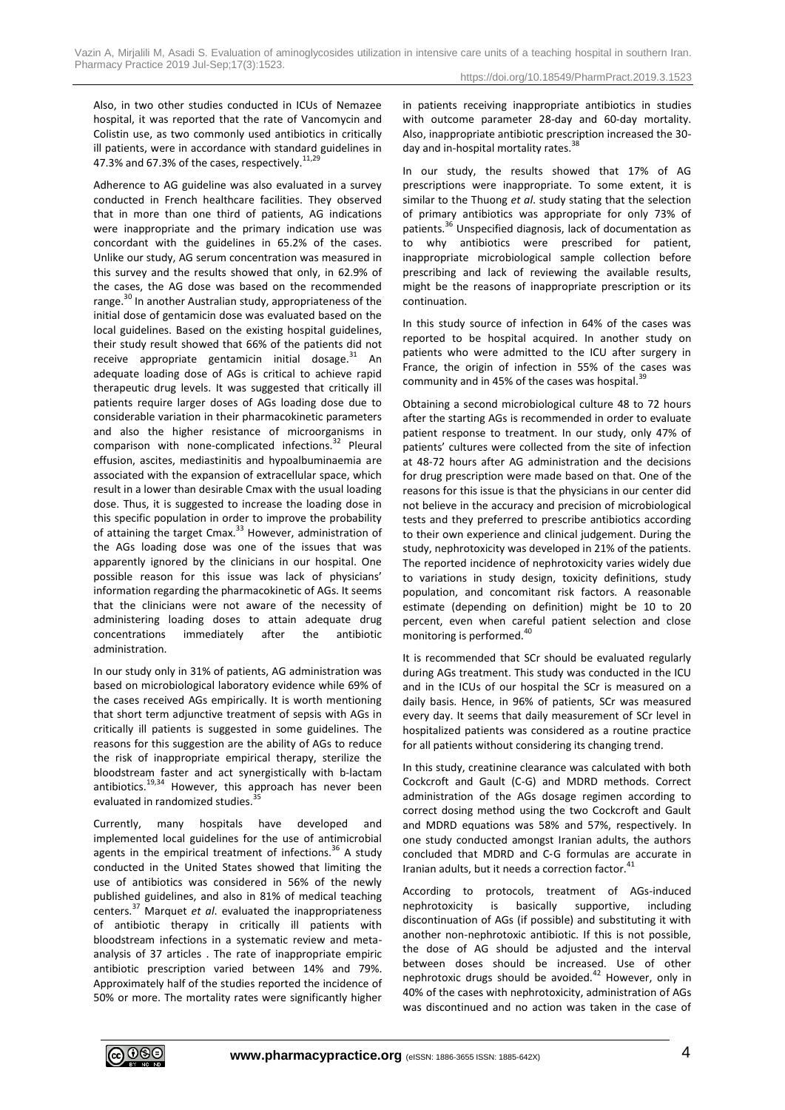Also, in two other studies conducted in ICUs of Nemazee hospital, it was reported that the rate of Vancomycin and Colistin use, as two commonly used antibiotics in critically ill patients, were in accordance with standard guidelines in 47.3% and 67.3% of the cases, respectively.  $11,29$ 

Adherence to AG guideline was also evaluated in a survey conducted in French healthcare facilities. They observed that in more than one third of patients, AG indications were inappropriate and the primary indication use was concordant with the guidelines in 65.2% of the cases. Unlike our study, AG serum concentration was measured in this survey and the results showed that only, in 62.9% of the cases, the AG dose was based on the recommended range.<sup>30</sup> In another Australian study, appropriateness of the initial dose of gentamicin dose was evaluated based on the local guidelines. Based on the existing hospital guidelines, their study result showed that 66% of the patients did not receive appropriate gentamicin initial dosage. $31$  An adequate loading dose of AGs is critical to achieve rapid therapeutic drug levels. It was suggested that critically ill patients require larger doses of AGs loading dose due to considerable variation in their pharmacokinetic parameters and also the higher resistance of microorganisms in comparison with none-complicated infections.<sup>32</sup> Pleural effusion, ascites, mediastinitis and hypoalbuminaemia are associated with the expansion of extracellular space, which result in a lower than desirable Cmax with the usual loading dose. Thus, it is suggested to increase the loading dose in this specific population in order to improve the probability of attaining the target Cmax.<sup>33</sup> However, administration of the AGs loading dose was one of the issues that was apparently ignored by the clinicians in our hospital. One possible reason for this issue was lack of physicians' information regarding the pharmacokinetic of AGs. It seems that the clinicians were not aware of the necessity of administering loading doses to attain adequate drug concentrations immediately after the antibiotic administration.

In our study only in 31% of patients, AG administration was based on microbiological laboratory evidence while 69% of the cases received AGs empirically. It is worth mentioning that short term adjunctive treatment of sepsis with AGs in critically ill patients is suggested in some guidelines. The reasons for this suggestion are the ability of AGs to reduce the risk of inappropriate empirical therapy, sterilize the bloodstream faster and act synergistically with b-lactam antibiotics.<sup>19,34</sup> However, this approach has never been evaluated in randomized studies.

Currently, many hospitals have developed and implemented local guidelines for the use of antimicrobial agents in the empirical treatment of infections.<sup>36</sup> A study conducted in the United States showed that limiting the use of antibiotics was considered in 56% of the newly published guidelines, and also in 81% of medical teaching centers.<sup>37</sup> Marquet *et al*. evaluated the inappropriateness of antibiotic therapy in critically ill patients with bloodstream infections in a systematic review and metaanalysis of 37 articles . The rate of inappropriate empiric antibiotic prescription varied between 14% and 79%. Approximately half of the studies reported the incidence of 50% or more. The mortality rates were significantly higher in patients receiving inappropriate antibiotics in studies with outcome parameter 28-day and 60-day mortality. Also, inappropriate antibiotic prescription increased the 30 day and in-hospital mortality rates.<sup>38</sup>

In our study, the results showed that 17% of AG prescriptions were inappropriate. To some extent, it is similar to the Thuong *et al*. study stating that the selection of primary antibiotics was appropriate for only 73% of patients.<sup>36</sup> Unspecified diagnosis, lack of documentation as to why antibiotics were prescribed for patient, inappropriate microbiological sample collection before prescribing and lack of reviewing the available results, might be the reasons of inappropriate prescription or its continuation.

In this study source of infection in 64% of the cases was reported to be hospital acquired. In another study on patients who were admitted to the ICU after surgery in France, the origin of infection in 55% of the cases was community and in 45% of the cases was hospital. $^{39}$ 

Obtaining a second microbiological culture 48 to 72 hours after the starting AGs is recommended in order to evaluate patient response to treatment. In our study, only 47% of patients' cultures were collected from the site of infection at 48-72 hours after AG administration and the decisions for drug prescription were made based on that. One of the reasons for this issue is that the physicians in our center did not believe in the accuracy and precision of microbiological tests and they preferred to prescribe antibiotics according to their own experience and clinical judgement. During the study, nephrotoxicity was developed in 21% of the patients. The reported incidence of nephrotoxicity varies widely due to variations in study design, toxicity definitions, study population, and concomitant risk factors. A reasonable estimate (depending on definition) might be 10 to 20 percent, even when careful patient selection and close monitoring is performed.<sup>40</sup>

It is recommended that SCr should be evaluated regularly during AGs treatment. This study was conducted in the ICU and in the ICUs of our hospital the SCr is measured on a daily basis. Hence, in 96% of patients, SCr was measured every day. It seems that daily measurement of SCr level in hospitalized patients was considered as a routine practice for all patients without considering its changing trend.

In this study, creatinine clearance was calculated with both Cockcroft and Gault (C-G) and MDRD methods. Correct administration of the AGs dosage regimen according to correct dosing method using the two Cockcroft and Gault and MDRD equations was 58% and 57%, respectively. In one study conducted amongst Iranian adults, the authors concluded that MDRD and C‑G formulas are accurate in Iranian adults, but it needs a correction factor.<sup>41</sup>

According to protocols, treatment of AGs-induced nephrotoxicity is basically supportive, including discontinuation of AGs (if possible) and substituting it with another non-nephrotoxic antibiotic. If this is not possible, the dose of AG should be adjusted and the interval between doses should be increased. Use of other nephrotoxic drugs should be avoided.<sup>42</sup> However, only in 40% of the cases with nephrotoxicity, administration of AGs was discontinued and no action was taken in the case of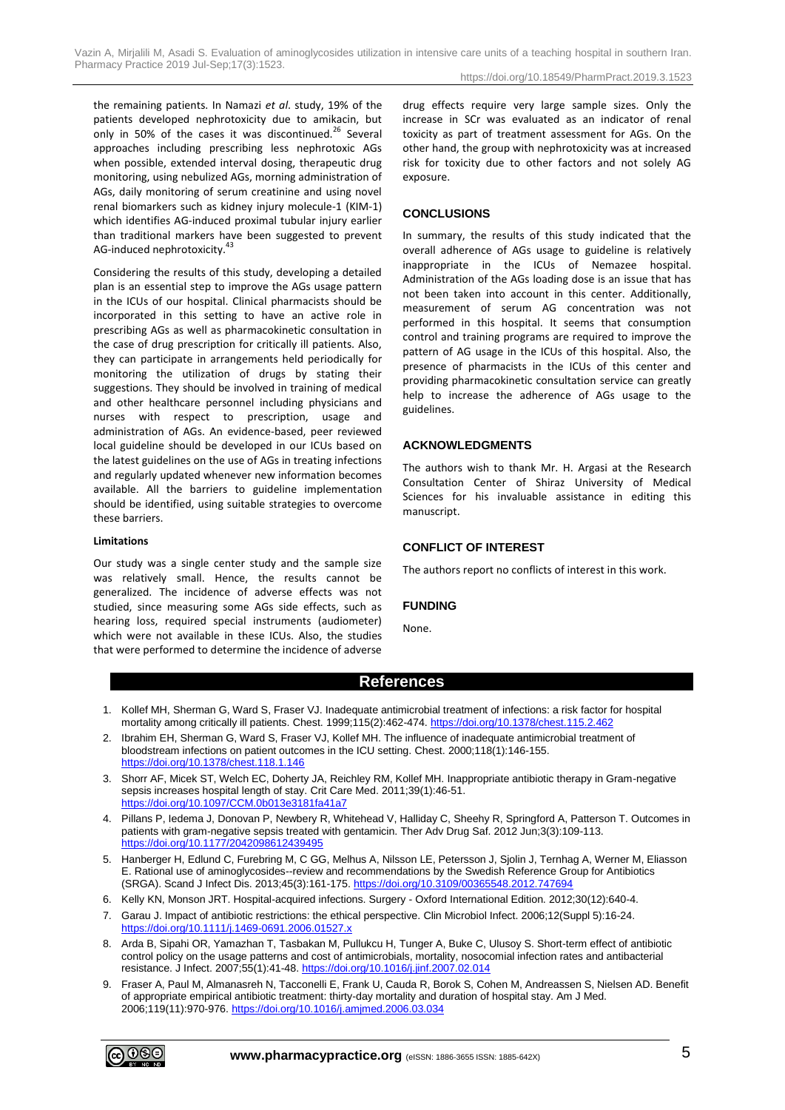the remaining patients. In Namazi *et al*. study, 19% of the patients developed nephrotoxicity due to amikacin, but only in 50% of the cases it was discontinued.<sup>26</sup> Several approaches including prescribing less nephrotoxic AGs when possible, extended interval dosing, therapeutic drug monitoring, using nebulized AGs, morning administration of AGs, daily monitoring of serum creatinine and using novel renal biomarkers such as kidney injury molecule-1 (KIM-1) which identifies AG-induced proximal tubular injury earlier than traditional markers have been suggested to prevent AG-induced nephrotoxicity.<sup>43</sup>

Considering the results of this study, developing a detailed plan is an essential step to improve the AGs usage pattern in the ICUs of our hospital. Clinical pharmacists should be incorporated in this setting to have an active role in prescribing AGs as well as pharmacokinetic consultation in the case of drug prescription for critically ill patients. Also, they can participate in arrangements held periodically for monitoring the utilization of drugs by stating their suggestions. They should be involved in training of medical and other healthcare personnel including physicians and nurses with respect to prescription, usage and administration of AGs. An evidence-based, peer reviewed local guideline should be developed in our ICUs based on the latest guidelines on the use of AGs in treating infections and regularly updated whenever new information becomes available. All the barriers to guideline implementation should be identified, using suitable strategies to overcome these barriers.

#### **Limitations**

Our study was a single center study and the sample size was relatively small. Hence, the results cannot be generalized. The incidence of adverse effects was not studied, since measuring some AGs side effects, such as hearing loss, required special instruments (audiometer) which were not available in these ICUs. Also, the studies that were performed to determine the incidence of adverse

drug effects require very large sample sizes. Only the increase in SCr was evaluated as an indicator of renal toxicity as part of treatment assessment for AGs. On the other hand, the group with nephrotoxicity was at increased risk for toxicity due to other factors and not solely AG exposure.

# **CONCLUSIONS**

In summary, the results of this study indicated that the overall adherence of AGs usage to guideline is relatively inappropriate in the ICUs of Nemazee hospital. Administration of the AGs loading dose is an issue that has not been taken into account in this center. Additionally, measurement of serum AG concentration was not performed in this hospital. It seems that consumption control and training programs are required to improve the pattern of AG usage in the ICUs of this hospital. Also, the presence of pharmacists in the ICUs of this center and providing pharmacokinetic consultation service can greatly help to increase the adherence of AGs usage to the guidelines.

## **ACKNOWLEDGMENTS**

The authors wish to thank Mr. H. Argasi at the Research Consultation Center of Shiraz University of Medical Sciences for his invaluable assistance in editing this manuscript.

# **CONFLICT OF INTEREST**

The authors report no conflicts of interest in this work.

## **FUNDING**

None.

# **References**

- 1. Kollef MH, Sherman G, Ward S, Fraser VJ. Inadequate antimicrobial treatment of infections: a risk factor for hospital mortality among critically ill patients. Chest. 1999;115(2):462-474[. https://doi.org/10.1378/chest.115.2.462](https://doi.org/10.1378/chest.115.2.462)
- 2. Ibrahim EH, Sherman G, Ward S, Fraser VJ, Kollef MH. The influence of inadequate antimicrobial treatment of bloodstream infections on patient outcomes in the ICU setting. Chest. 2000;118(1):146-155. <https://doi.org/10.1378/chest.118.1.146>
- 3. Shorr AF, Micek ST, Welch EC, Doherty JA, Reichley RM, Kollef MH. Inappropriate antibiotic therapy in Gram-negative sepsis increases hospital length of stay. Crit Care Med. 2011;39(1):46-51. <https://doi.org/10.1097/CCM.0b013e3181fa41a7>
- 4. Pillans P, Iedema J, Donovan P, Newbery R, Whitehead V, Halliday C, Sheehy R, Springford A, Patterson T. Outcomes in patients with gram-negative sepsis treated with gentamicin. Ther Adv Drug Saf. 2012 Jun;3(3):109-113. <https://doi.org/10.1177/2042098612439495>
- 5. Hanberger H, Edlund C, Furebring M, C GG, Melhus A, Nilsson LE, Petersson J, Sjolin J, Ternhag A, Werner M, Eliasson E. Rational use of aminoglycosides--review and recommendations by the Swedish Reference Group for Antibiotics (SRGA). Scand J Infect Dis. 2013;45(3):161-175[. https://doi.org/10.3109/00365548.2012.747694](https://doi.org/10.3109/00365548.2012.747694)
- 6. Kelly KN, Monson JRT. Hospital-acquired infections. Surgery Oxford International Edition. 2012;30(12):640-4.
- 7. Garau J. Impact of antibiotic restrictions: the ethical perspective. Clin Microbiol Infect. 2006;12(Suppl 5):16-24. <https://doi.org/10.1111/j.1469-0691.2006.01527.x>
- 8. Arda B, Sipahi OR, Yamazhan T, Tasbakan M, Pullukcu H, Tunger A, Buke C, Ulusoy S. Short-term effect of antibiotic control policy on the usage patterns and cost of antimicrobials, mortality, nosocomial infection rates and antibacterial resistance. J Infect. 2007;55(1):41-48.<https://doi.org/10.1016/j.jinf.2007.02.014>
- 9. Fraser A, Paul M, Almanasreh N, Tacconelli E, Frank U, Cauda R, Borok S, Cohen M, Andreassen S, Nielsen AD. Benefit of appropriate empirical antibiotic treatment: thirty-day mortality and duration of hospital stay. Am J Med. 2006;119(11):970-976.<https://doi.org/10.1016/j.amjmed.2006.03.034>

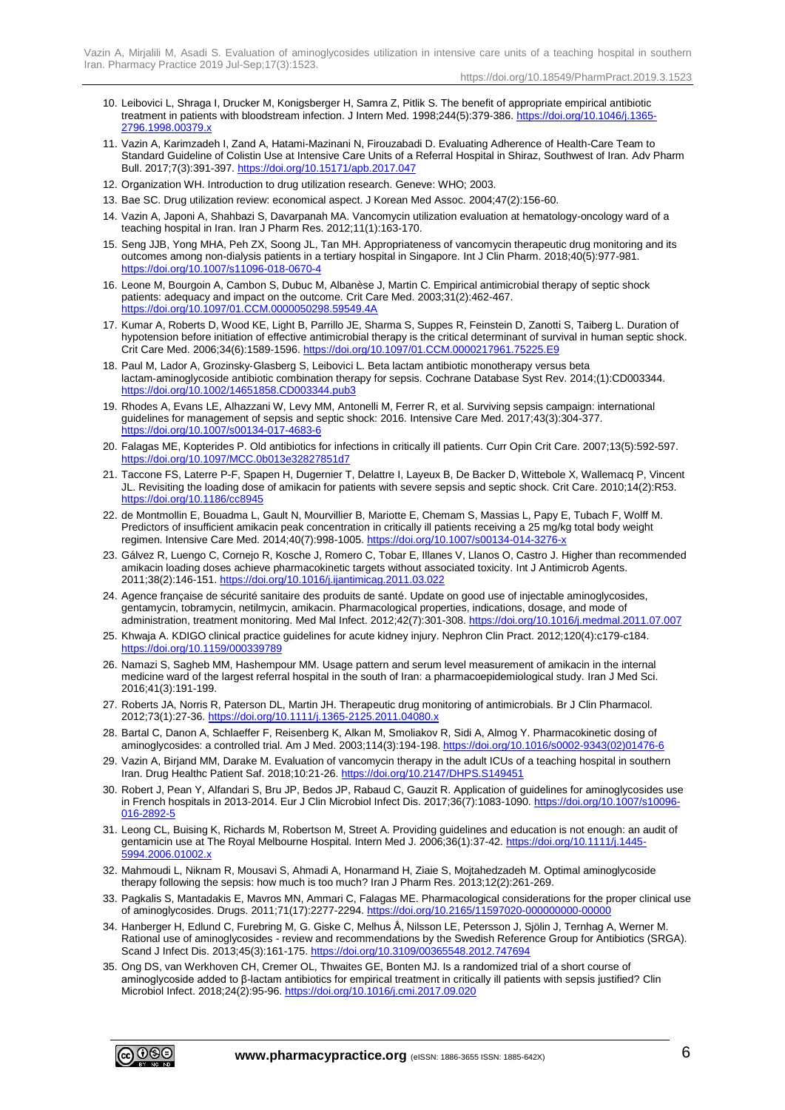Vazin A, Mirjalili M, Asadi S. Evaluation of aminoglycosides utilization in intensive care units of a teaching hospital in southern Iran. Pharmacy Practice 2019 Jul-Sep;17(3):1523.

- 10. Leibovici L, Shraga I, Drucker M, Konigsberger H, Samra Z, Pitlik S. The benefit of appropriate empirical antibiotic treatment in patients with bloodstream infection. J Intern Med. 1998;244(5):379-386. [https://doi.org/10.1046/j.1365-](https://doi.org/10.1046/j.1365-2796.1998.00379.x) [2796.1998.00379.x](https://doi.org/10.1046/j.1365-2796.1998.00379.x)
- 11. Vazin A, Karimzadeh I, Zand A, Hatami-Mazinani N, Firouzabadi D. Evaluating Adherence of Health-Care Team to Standard Guideline of Colistin Use at Intensive Care Units of a Referral Hospital in Shiraz, Southwest of Iran. Adv Pharm Bull. 2017;7(3):391-397[. https://doi.org/10.15171/apb.2017.047](https://doi.org/10.15171/apb.2017.047)
- 12. Organization WH. Introduction to drug utilization research. Geneve: WHO; 2003.
- 13. Bae SC. Drug utilization review: economical aspect. J Korean Med Assoc. 2004;47(2):156-60.
- 14. Vazin A, Japoni A, Shahbazi S, Davarpanah MA. Vancomycin utilization evaluation at hematology-oncology ward of a teaching hospital in Iran. Iran J Pharm Res. 2012;11(1):163-170.
- 15. Seng JJB, Yong MHA, Peh ZX, Soong JL, Tan MH. Appropriateness of vancomycin therapeutic drug monitoring and its outcomes among non-dialysis patients in a tertiary hospital in Singapore. Int J Clin Pharm. 2018;40(5):977-981. <https://doi.org/10.1007/s11096-018-0670-4>
- 16. Leone M, Bourgoin A, Cambon S, Dubuc M, Albanèse J, Martin C. Empirical antimicrobial therapy of septic shock patients: adequacy and impact on the outcome. Crit Care Med. 2003;31(2):462-467. <https://doi.org/10.1097/01.CCM.0000050298.59549.4A>
- 17. Kumar A, Roberts D, Wood KE, Light B, Parrillo JE, Sharma S, Suppes R, Feinstein D, Zanotti S, Taiberg L. Duration of hypotension before initiation of effective antimicrobial therapy is the critical determinant of survival in human septic shock. Crit Care Med. 2006;34(6):1589-1596.<https://doi.org/10.1097/01.CCM.0000217961.75225.E9>
- 18. Paul M, Lador A, Grozinsky‑Glasberg S, Leibovici L. Beta lactam antibiotic monotherapy versus beta lactam‑aminoglycoside antibiotic combination therapy for sepsis. Cochrane Database Syst Rev. 2014;(1):CD003344. <https://doi.org/10.1002/14651858.CD003344.pub3>
- 19. Rhodes A, Evans LE, Alhazzani W, Levy MM, Antonelli M, Ferrer R, et al. Surviving sepsis campaign: international guidelines for management of sepsis and septic shock: 2016. Intensive Care Med. 2017;43(3):304-377. <https://doi.org/10.1007/s00134-017-4683-6>
- 20. Falagas ME, Kopterides P. Old antibiotics for infections in critically ill patients. Curr Opin Crit Care. 2007;13(5):592-597. <https://doi.org/10.1097/MCC.0b013e32827851d7>
- 21. Taccone FS, Laterre P-F, Spapen H, Dugernier T, Delattre I, Layeux B, De Backer D, Wittebole X, Wallemacq P, Vincent JL. Revisiting the loading dose of amikacin for patients with severe sepsis and septic shock. Crit Care. 2010;14(2):R53. <https://doi.org/10.1186/cc8945>
- 22. de Montmollin E, Bouadma L, Gault N, Mourvillier B, Mariotte E, Chemam S, Massias L, Papy E, Tubach F, Wolff M. Predictors of insufficient amikacin peak concentration in critically ill patients receiving a 25 mg/kg total body weight regimen. Intensive Care Med. 2014;40(7):998-1005[. https://doi.org/10.1007/s00134-014-3276-x](https://doi.org/10.1007/s00134-014-3276-x)
- 23. Gálvez R, Luengo C, Cornejo R, Kosche J, Romero C, Tobar E, Illanes V, Llanos O, Castro J. Higher than recommended amikacin loading doses achieve pharmacokinetic targets without associated toxicity. Int J Antimicrob Agents. 2011;38(2):146-151.<https://doi.org/10.1016/j.ijantimicag.2011.03.022>
- 24. Agence française de sécurité sanitaire des produits de santé. Update on good use of injectable aminoglycosides, gentamycin, tobramycin, netilmycin, amikacin. Pharmacological properties, indications, dosage, and mode of administration, treatment monitoring. Med Mal Infect. 2012;42(7):301-308.<https://doi.org/10.1016/j.medmal.2011.07.007>
- 25. Khwaja A. KDIGO clinical practice guidelines for acute kidney injury. Nephron Clin Pract. 2012;120(4):c179-c184. <https://doi.org/10.1159/000339789>
- 26. Namazi S, Sagheb MM, Hashempour MM. Usage pattern and serum level measurement of amikacin in the internal medicine ward of the largest referral hospital in the south of Iran: a pharmacoepidemiological study. Iran J Med Sci. 2016;41(3):191-199.
- 27. Roberts JA, Norris R, Paterson DL, Martin JH. Therapeutic drug monitoring of antimicrobials. Br J Clin Pharmacol. 2012;73(1):27-36.<https://doi.org/10.1111/j.1365-2125.2011.04080.x>
- 28. Bartal C, Danon A, Schlaeffer F, Reisenberg K, Alkan M, Smoliakov R, Sidi A, Almog Y. Pharmacokinetic dosing of aminoglycosides: a controlled trial. Am J Med. 2003;114(3):194-198[. https://doi.org/10.1016/s0002-9343\(02\)01476-6](https://doi.org/10.1016/s0002-9343(02)01476-6)
- 29. Vazin A, Birjand MM, Darake M. Evaluation of vancomycin therapy in the adult ICUs of a teaching hospital in southern Iran. Drug Healthc Patient Saf. 2018;10:21-26.<https://doi.org/10.2147/DHPS.S149451>
- 30. Robert J, Pean Y, Alfandari S, Bru JP, Bedos JP, Rabaud C, Gauzit R. Application of guidelines for aminoglycosides use in French hospitals in 2013-2014. Eur J Clin Microbiol Infect Dis. 2017;36(7):1083-1090. [https://doi.org/10.1007/s10096-](https://doi.org/10.1007/s10096-016-2892-5) [016-2892-5](https://doi.org/10.1007/s10096-016-2892-5)
- 31. Leong CL, Buising K, Richards M, Robertson M, Street A. Providing guidelines and education is not enough: an audit of gentamicin use at The Royal Melbourne Hospital. Intern Med J. 2006;36(1):37-42. [https://doi.org/10.1111/j.1445-](https://doi.org/10.1111/j.1445-5994.2006.01002.x) [5994.2006.01002.x](https://doi.org/10.1111/j.1445-5994.2006.01002.x)
- 32. Mahmoudi L, Niknam R, Mousavi S, Ahmadi A, Honarmand H, Ziaie S, Mojtahedzadeh M. Optimal aminoglycoside therapy following the sepsis: how much is too much? Iran J Pharm Res. 2013;12(2):261-269.
- 33. Pagkalis S, Mantadakis E, Mavros MN, Ammari C, Falagas ME. Pharmacological considerations for the proper clinical use of aminoglycosides. Drugs. 2011;71(17):2277-2294[. https://doi.org/10.2165/11597020-000000000-00000](https://doi.org/10.2165/11597020-000000000-00000)
- 34. Hanberger H, Edlund C, Furebring M, G. Giske C, Melhus Å, Nilsson LE, Petersson J, Sjölin J, Ternhag A, Werner M. Rational use of aminoglycosides - review and recommendations by the Swedish Reference Group for Antibiotics (SRGA). Scand J Infect Dis. 2013;45(3):161-175.<https://doi.org/10.3109/00365548.2012.747694>
- 35. Ong DS, van Werkhoven CH, Cremer OL, Thwaites GE, Bonten MJ. Is a randomized trial of a short course of aminoglycoside added to β-lactam antibiotics for empirical treatment in critically ill patients with sepsis justified? Clin Microbiol Infect. 2018;24(2):95-96[. https://doi.org/10.1016/j.cmi.2017.09.020](https://doi.org/10.1016/j.cmi.2017.09.020)